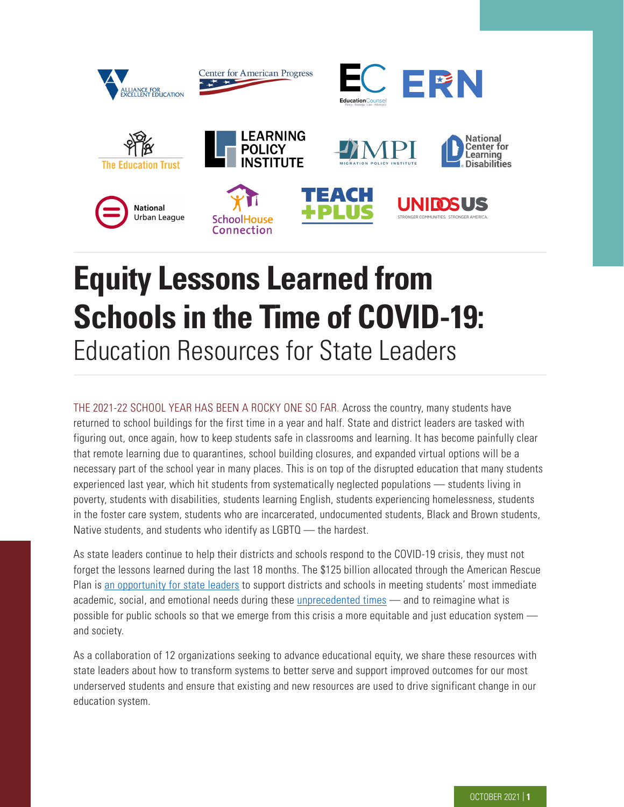

# **Equity Lessons Learned from Schools in the Time of COVID-19:**  Education Resources for State Leaders

THE 2021-22 SCHOOL YEAR HAS BEEN A ROCKY ONE SO FAR. Across the country, many students have returned to school buildings for the first time in a year and half. State and district leaders are tasked with figuring out, once again, how to keep students safe in classrooms and learning. It has become painfully clear that remote learning due to quarantines, school building closures, and expanded virtual options will be a necessary part of the school year in many places. This is on top of the disrupted education that many students experienced last year, which hit students from systematically neglected populations — students living in poverty, students with disabilities, students learning English, students experiencing homelessness, students in the foster care system, students who are incarcerated, undocumented students, Black and Brown students, Native students, and students who identify as LGBTQ — the hardest.

As state leaders continue to help their districts and schools respond to the COVID-19 crisis, they must not forget the lessons learned during the last 18 months. The \$125 billion allocated through the American Rescue Plan is [an opportunity for state leaders](https://edtrust.org/wp-content/uploads/2014/09/Recommendations-for-State-Leaders-to-Advance-Equity-Using-Funds-from-the-American-Recue-Plan-Act-May-2021.pdf) to support districts and schools in meeting students' most immediate academic, social, and emotional needs during these [unprecedented times](https://futureready.org/podcasts/leading/) — and to reimagine what is possible for public schools so that we emerge from this crisis a more equitable and just education system and society.

As a collaboration of 12 organizations seeking to advance educational equity, we share these resources with state leaders about how to transform systems to better serve and support improved outcomes for our most underserved students and ensure that existing and new resources are used to drive significant change in our education system.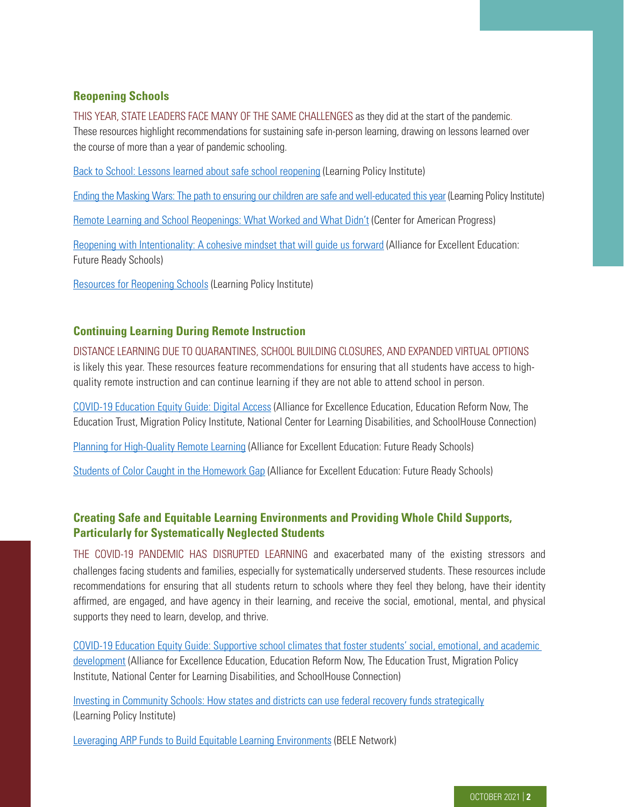## **Reopening Schools**

THIS YEAR, STATE LEADERS FACE MANY OF THE SAME CHALLENGES as they did at the start of the pandemic. These resources highlight recommendations for sustaining safe in-person learning, drawing on lessons learned over the course of more than a year of pandemic schooling.

[Back to School: Lessons learned about safe school reopening](https://learningpolicyinstitute.org/blog/covid-back-to-school-lessons-safe-school-reopening) (Learning Policy Institute)

[Ending the Masking Wars: The path to ensuring our children are safe and well-educated this year](https://learningpolicyinstitute.org/blog/covid-ending-masking-wars-ensuring-children-safe-well-educated) (Learning Policy Institute)

[Remote Learning and School Reopenings: What Worked and What Didn't](https://www.americanprogress.org/issues/education-k-12/reports/2021/07/06/501221/remote-learning-school-reopenings-worked-didnt/) (Center for American Progress)

[Reopening with Intentionality: A cohesive mindset that will guide us forward](https://futureready.org/reopening-with-intentionality-a-cohesive-mindset-that-will-guide-us-forward/) (Alliance for Excellent Education: Future Ready Schools)

Resources for Reopening Schools (Learning Policy Institute)

#### **Continuing Learning During Remote Instruction**

DISTANCE LEARNING DUE TO QUARANTINES, SCHOOL BUILDING CLOSURES, AND EXPANDED VIRTUAL OPTIONS is likely this year. These resources feature recommendations for ensuring that all students have access to highquality remote instruction and can continue learning if they are not able to attend school in person.

[COVID-19 Education Equity Guide: Digital Access](https://edtrust.org/resource/covid-19-education-equity-guide-digital-access/) (Alliance for Excellence Education, Education Reform Now, The Education Trust, Migration Policy Institute, National Center for Learning Disabilities, and SchoolHouse Connection)

[Planning for High-Quality Remote Learning](https://futureready.org/remote/) (Alliance for Excellent Education: Future Ready Schools)

[Students of Color Caught in the Homework Gap](https://futureready.org/homework-gap/) (Alliance for Excellent Education: Future Ready Schools)

## **Creating Safe and Equitable Learning Environments and Providing Whole Child Supports, Particularly for Systematically Neglected Students**

THE COVID-19 PANDEMIC HAS DISRUPTED LEARNING and exacerbated many of the existing stressors and challenges facing students and families, especially for systematically underserved students. These resources include recommendations for ensuring that all students return to schools where they feel they belong, have their identity affirmed, are engaged, and have agency in their learning, and receive the social, emotional, mental, and physical supports they need to learn, develop, and thrive.

[COVID-19 Education Equity Guide: Supportive school climates that foster students' social, emotional, and academic](https://edtrust.org/resource/covid-19-education-equity-guide-supportive-school-climates-that-foster-students-social-emotional-and-academic-development/)  [development](https://edtrust.org/resource/covid-19-education-equity-guide-supportive-school-climates-that-foster-students-social-emotional-and-academic-development/) (Alliance for Excellence Education, Education Reform Now, The Education Trust, Migration Policy Institute, National Center for Learning Disabilities, and SchoolHouse Connection)

[Investing in Community Schools: How states and districts can use federal recovery funds strategically](http://learningpolicyinstitute.org/product/federal-funds-cs-factsheet) (Learning Policy Institute)

[Leveraging ARP Funds to Build Equitable Learning Environments](https://belenetwork.org/funding-guidelines) (BELE Network)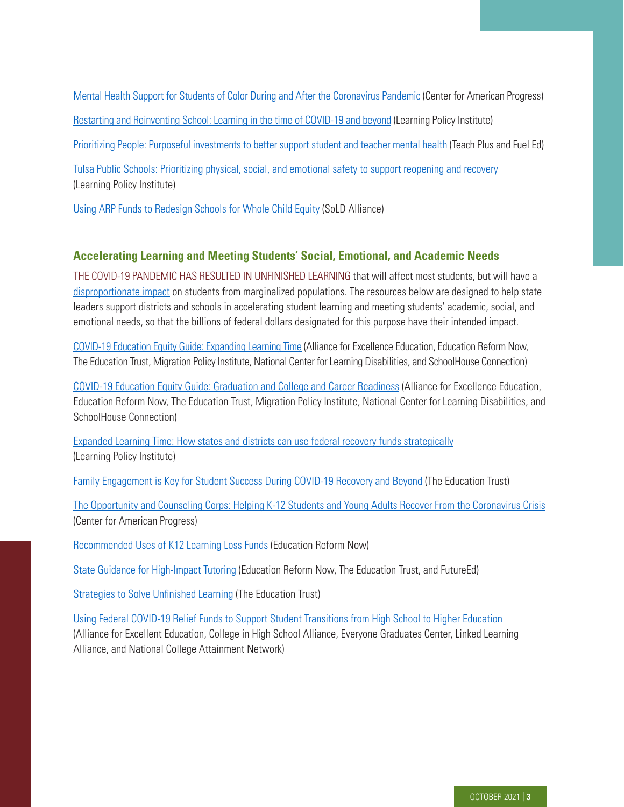[Mental Health Support for Students of Color During and After the Coronavirus Pandemic](https://www.americanprogress.org/issues/education-k-12/news/2020/07/28/488044/mental-health-support-students-color-coronavirus-pandemic/) (Center for American Progress) [Restarting and Reinventing School: Learning in the time of COVID-19 and beyond](https://restart-reinvent.learningpolicyinstitute.org/ensure-supports-social-and-emotional-learning) (Learning Policy Institute) [Prioritizing People: Purposeful investments to better support student and teacher mental health](https://teachplus.org/sites/default/files/publication/pdf/prioritizing_people.pdf) (Teach Plus and Fuel Ed) [Tulsa Public Schools: Prioritizing physical, social, and emotional safety to support reopening and recovery](http://learningpolicyinstitute.org/product/safe-school-reopening-tulsa-brief) (Learning Policy Institute)

[Using ARP Funds to Redesign Schools for Whole Child Equity](https://www.soldalliance.org/post/using-arp-funds-to-redesign-schools-for-whole-child-equity) (SoLD Alliance)

### **Accelerating Learning and Meeting Students' Social, Emotional, and Academic Needs**

THE COVID-19 PANDEMIC HAS RESULTED IN UNFINISHED LEARNING that will affect most students, but will have a [disproportionate impact](https://www.nwea.org/content/uploads/2021/07/Learning-during-COVID-19-Reading-and-math-achievement-in-the-2020-2021-school-year.research-brief-1.pdf) on students from marginalized populations. The resources below are designed to help state leaders support districts and schools in accelerating student learning and meeting students' academic, social, and emotional needs, so that the billions of federal dollars designated for this purpose have their intended impact.

[COVID-19 Education Equity Guide: Expanding Learning Time](https://edtrust.org/resource/covid-19-education-equity-guide-expanding-learning-time/) (Alliance for Excellence Education, Education Reform Now, The Education Trust, Migration Policy Institute, National Center for Learning Disabilities, and SchoolHouse Connection)

[COVID-19 Education Equity Guide: Graduation and College and Career Readiness](https://edtrust.org/resource/covid-19-education-equity-guide-graduation-and-college-and-career-readiness/) (Alliance for Excellence Education, Education Reform Now, The Education Trust, Migration Policy Institute, National Center for Learning Disabilities, and SchoolHouse Connection)

[Expanded Learning Time: How states and districts can use federal recovery funds strategically](https://learningpolicyinstitute.org/product/federal-funds-elt-factsheet) (Learning Policy Institute)

[Family Engagement is Key for Student Success During COVID-19 Recovery and Beyond](https://edtrust.org/the-equity-line/family-engagement-is-key-for-student-success-during-covid-19-recovery-and-beyond/) (The Education Trust)

[The Opportunity and Counseling Corps: Helping K-12 Students and Young Adults Recover From the Coronavirus Crisis](https://www.americanprogress.org/issues/education-k-12/reports/2020/08/10/489168/opportunity-counseling-corps-helping-k-12-students-young-adults-recover-coronavirus-crisis/)  (Center for American Progress)

[Recommended Uses of K12 Learning Loss Funds](https://edreformnow.org/policy-briefs/recommended-uses-for-k-12-learning-loss-funds/) (Education Reform Now)

[State Guidance for High-Impact Tutoring](https://edtrust.org/resource/state-guidance-for-high-impact-tutoring/) (Education Reform Now, The Education Trust, and FutureEd)

[Strategies to Solve Unfinished Learning](https://edtrust.org/strategies-to-solve-unfinished-learning/) (The Education Trust)

[Using Federal COVID-19 Relief Funds to Support Student Transitions from High School to Higher Education](https://mk0all4edorgjxiy8xf9.kinstacdn.com/wp-content/uploads/2021/07/COVID-Relief-Funds-UPDATE.pdf)  (Alliance for Excellent Education, College in High School Alliance, Everyone Graduates Center, Linked Learning Alliance, and National College Attainment Network)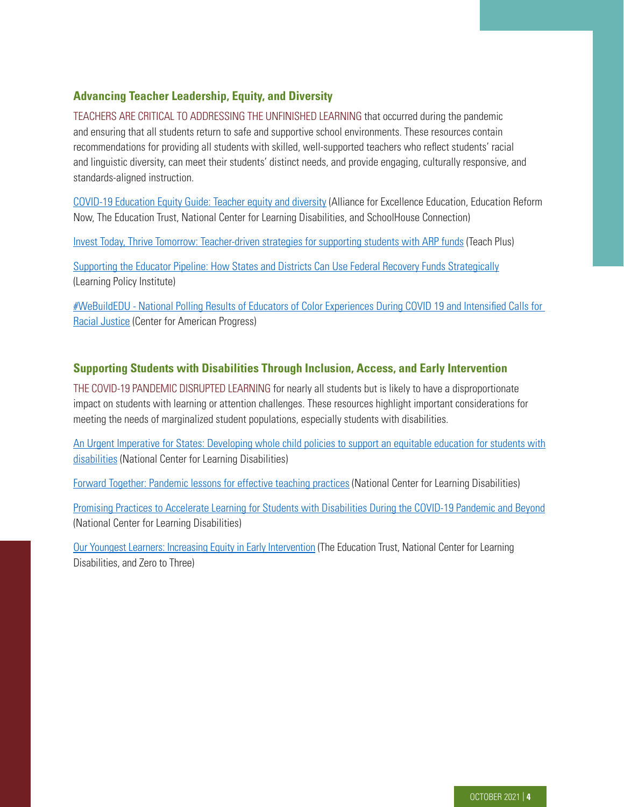# **Advancing Teacher Leadership, Equity, and Diversity**

TEACHERS ARE CRITICAL TO ADDRESSING THE UNFINISHED LEARNING that occurred during the pandemic and ensuring that all students return to safe and supportive school environments. These resources contain recommendations for providing all students with skilled, well-supported teachers who reflect students' racial and linguistic diversity, can meet their students' distinct needs, and provide engaging, culturally responsive, and standards-aligned instruction.

[COVID-19 Education Equity Guide: Teacher equity and diversity](https://edtrust.org/resource/covid-19-education-equity-guide-teacher-equity-and-diversity/) (Alliance for Excellence Education, Education Reform Now, The Education Trust, National Center for Learning Disabilities, and SchoolHouse Connection)

[Invest Today, Thrive Tomorrow: Teacher-driven strategies for supporting students with ARP funds](https://online.fliphtml5.com/mgbmv/ibyx/#p=1) (Teach Plus)

[Supporting the Educator Pipeline: How States and Districts Can Use Federal Recovery Funds Strategically](https://learningpolicyinstitute.org/product/federal-funds-edprep-factsheet) (Learning Policy Institute)

[#WeBuildEDU - National Polling Results of Educators of Color Experiences During COVID 19 and Intensified Calls for](https://webuildedu.org/educolorpollingdata.html)  [Racial Justice](https://webuildedu.org/educolorpollingdata.html) (Center for American Progress)

#### **Supporting Students with Disabilities Through Inclusion, Access, and Early Intervention**

THE COVID-19 PANDEMIC DISRUPTED LEARNING for nearly all students but is likely to have a disproportionate impact on students with learning or attention challenges. These resources highlight important considerations for meeting the needs of marginalized student populations, especially students with disabilities.

[An Urgent Imperative for States: Developing whole child policies to support an equitable education for students with](https://ncld.co/3crteUn)  [disabilities](https://ncld.co/3crteUn) (National Center for Learning Disabilities)

[Forward Together: Pandemic lessons for effective teaching practices](https://www.ncld.org/reports-studies/forward-together-2021) (National Center for Learning Disabilities)

[Promising Practices to Accelerate Learning for Students with Disabilities During the COVID-19 Pandemic and Beyond](https://www.ncld.org/wp-content/uploads/2021/02/2021-NCLD-Promising-Practices-to-Accelerate-Learning_REV.pdf) (National Center for Learning Disabilities)

[Our Youngest Learners: Increasing Equity in Early Intervention](https://edtrust.org/increasing-equity-in-early-intervention/) (The Education Trust, National Center for Learning Disabilities, and Zero to Three)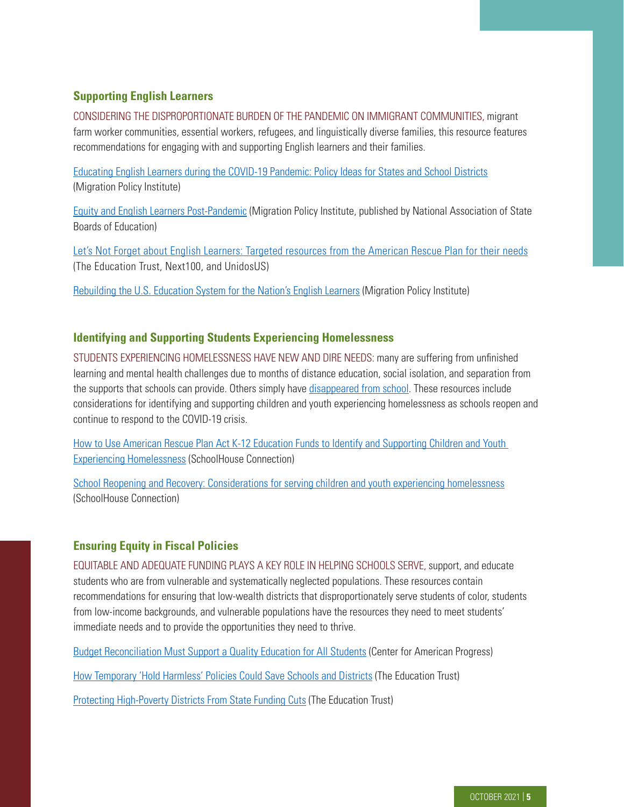# **Supporting English Learners**

CONSIDERING THE DISPROPORTIONATE BURDEN OF THE PANDEMIC ON IMMIGRANT COMMUNITIES, migrant farm worker communities, essential workers, refugees, and linguistically diverse families, this resource features recommendations for engaging with and supporting English learners and their families.

[Educating English Learners during the COVID-19 Pandemic: Policy Ideas for States and School Districts](https://www.migrationpolicy.org/research/english-learners-covid-19-pandemic-policy-ideas) (Migration Policy Institute)

[Equity and English Learners Post-Pandemic](https://nasbe.nyc3.digitaloceanspaces.com/2021/09/Sugarman-Lazarin_Sept-2021-Standard.pdf) (Migration Policy Institute, published by National Association of State Boards of Education)

[Let's Not Forget about English Learners: Targeted resources from the American Rescue Plan for their needs](https://edtrust.org/the-equity-line/lets-not-forget-about-english-learners-targeting-resources-from-the-american-rescue-plan-for-their-needs/) (The Education Trust, Next100, and UnidosUS)

[Rebuilding the U.S. Education System for the Nation's English Learners](https://www.migrationpolicy.org/news/pandemic-investment-rebuilding-education-english-learners) (Migration Policy Institute)

#### **Identifying and Supporting Students Experiencing Homelessness**

STUDENTS EXPERIENCING HOMELESSNESS HAVE NEW AND DIRE NEEDS: many are suffering from unfinished learning and mental health challenges due to months of distance education, social isolation, and separation from the supports that schools can provide. Others simply have [disappeared from school](https://schoolhouseconnection.org/lost-in-the-masked-shuffle-and-virtual-void/). These resources include considerations for identifying and supporting children and youth experiencing homelessness as schools reopen and continue to respond to the COVID-19 crisis.

How to Use American Rescue Plan Act K-12 Education Funds to Identify and Supporting Children and Youth Experiencing Homelessness (SchoolHouse Connection)

[School Reopening and Recovery: Considerations for serving children and youth experiencing homelessness](https://schoolhouseconnection.org/school-reopening-and-recovery/) (SchoolHouse Connection)

#### **Ensuring Equity in Fiscal Policies**

EQUITABLE AND ADEQUATE FUNDING PLAYS A KEY ROLE IN HELPING SCHOOLS SERVE, support, and educate students who are from vulnerable and systematically neglected populations. These resources contain recommendations for ensuring that low-wealth districts that disproportionately serve students of color, students from low-income backgrounds, and vulnerable populations have the resources they need to meet students' immediate needs and to provide the opportunities they need to thrive.

[Budget Reconciliation Must Support a Quality Education for All Students](https://www.americanprogress.org/issues/education-k-12/reports/2021/09/22/503920/budget-reconciliation-must-support-quality-education-students/) (Center for American Progress)

[How Temporary 'Hold Harmless' Policies Could Save Schools and Districts](https://edtrust.org/the-equity-line/how-temporary-hold-harmless-policies-could-save-schools-and-districts/) (The Education Trust)

[Protecting High-Poverty Districts From State Funding Cuts](https://edtrust.org/covid-funding-cuts/) (The Education Trust)